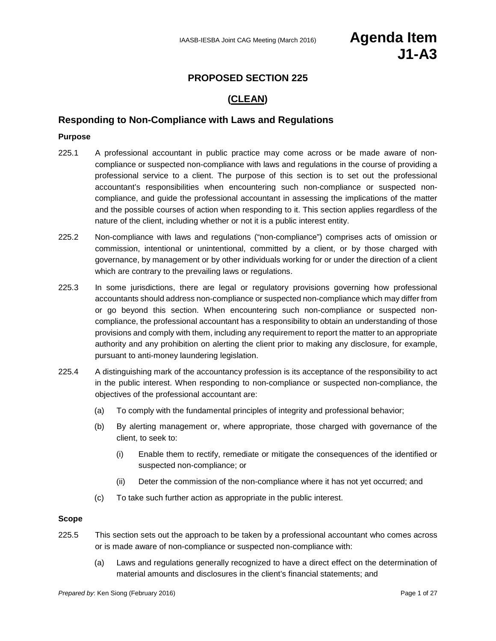# **PROPOSED SECTION 225**

# **(CLEAN)**

## **Responding to Non-Compliance with Laws and Regulations**

#### **Purpose**

- 225.1 A professional accountant in public practice may come across or be made aware of noncompliance or suspected non-compliance with laws and regulations in the course of providing a professional service to a client. The purpose of this section is to set out the professional accountant's responsibilities when encountering such non-compliance or suspected noncompliance, and guide the professional accountant in assessing the implications of the matter and the possible courses of action when responding to it. This section applies regardless of the nature of the client, including whether or not it is a public interest entity.
- 225.2 Non-compliance with laws and regulations ("non-compliance") comprises acts of omission or commission, intentional or unintentional, committed by a client, or by those charged with governance, by management or by other individuals working for or under the direction of a client which are contrary to the prevailing laws or regulations.
- 225.3 In some jurisdictions, there are legal or regulatory provisions governing how professional accountants should address non-compliance or suspected non-compliance which may differ from or go beyond this section. When encountering such non-compliance or suspected noncompliance, the professional accountant has a responsibility to obtain an understanding of those provisions and comply with them, including any requirement to report the matter to an appropriate authority and any prohibition on alerting the client prior to making any disclosure, for example, pursuant to anti-money laundering legislation.
- 225.4 A distinguishing mark of the accountancy profession is its acceptance of the responsibility to act in the public interest. When responding to non-compliance or suspected non-compliance, the objectives of the professional accountant are:
	- (a) To comply with the fundamental principles of integrity and professional behavior;
	- (b) By alerting management or, where appropriate, those charged with governance of the client, to seek to:
		- (i) Enable them to rectify, remediate or mitigate the consequences of the identified or suspected non-compliance; or
		- (ii) Deter the commission of the non-compliance where it has not yet occurred; and
	- (c) To take such further action as appropriate in the public interest.

#### **Scope**

- 225.5 This section sets out the approach to be taken by a professional accountant who comes across or is made aware of non-compliance or suspected non-compliance with:
	- (a) Laws and regulations generally recognized to have a direct effect on the determination of material amounts and disclosures in the client's financial statements; and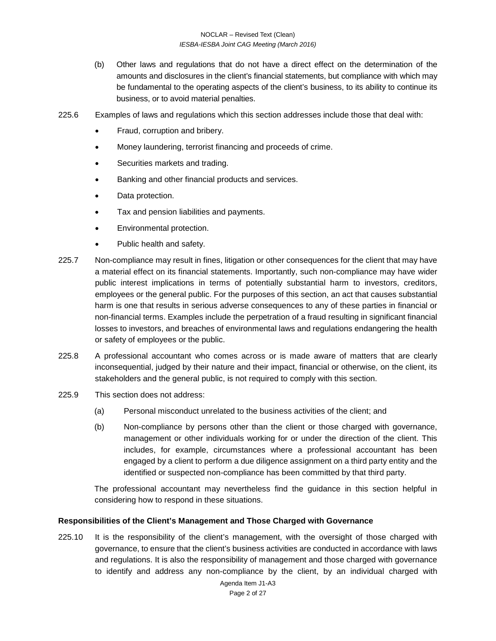- (b) Other laws and regulations that do not have a direct effect on the determination of the amounts and disclosures in the client's financial statements, but compliance with which may be fundamental to the operating aspects of the client's business, to its ability to continue its business, or to avoid material penalties.
- 225.6 Examples of laws and regulations which this section addresses include those that deal with:
	- Fraud, corruption and bribery.
	- Money laundering, terrorist financing and proceeds of crime.
	- Securities markets and trading.
	- Banking and other financial products and services.
	- Data protection.
	- Tax and pension liabilities and payments.
	- Environmental protection.
	- Public health and safety.
- 225.7 Non-compliance may result in fines, litigation or other consequences for the client that may have a material effect on its financial statements. Importantly, such non-compliance may have wider public interest implications in terms of potentially substantial harm to investors, creditors, employees or the general public. For the purposes of this section, an act that causes substantial harm is one that results in serious adverse consequences to any of these parties in financial or non-financial terms. Examples include the perpetration of a fraud resulting in significant financial losses to investors, and breaches of environmental laws and regulations endangering the health or safety of employees or the public.
- 225.8 A professional accountant who comes across or is made aware of matters that are clearly inconsequential, judged by their nature and their impact, financial or otherwise, on the client, its stakeholders and the general public, is not required to comply with this section.
- 225.9 This section does not address:
	- (a) Personal misconduct unrelated to the business activities of the client; and
	- (b) Non-compliance by persons other than the client or those charged with governance, management or other individuals working for or under the direction of the client. This includes, for example, circumstances where a professional accountant has been engaged by a client to perform a due diligence assignment on a third party entity and the identified or suspected non-compliance has been committed by that third party.

The professional accountant may nevertheless find the guidance in this section helpful in considering how to respond in these situations.

#### **Responsibilities of the Client's Management and Those Charged with Governance**

225.10 It is the responsibility of the client's management, with the oversight of those charged with governance, to ensure that the client's business activities are conducted in accordance with laws and regulations. It is also the responsibility of management and those charged with governance to identify and address any non-compliance by the client, by an individual charged with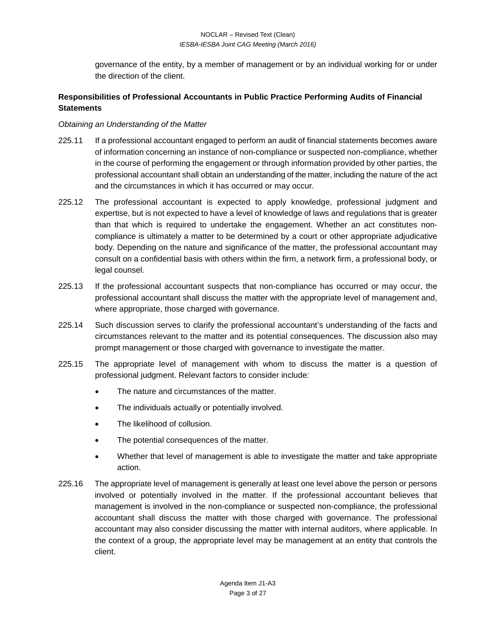governance of the entity, by a member of management or by an individual working for or under the direction of the client.

# **Responsibilities of Professional Accountants in Public Practice Performing Audits of Financial Statements**

## *Obtaining an Understanding of the Matter*

- 225.11 If a professional accountant engaged to perform an audit of financial statements becomes aware of information concerning an instance of non-compliance or suspected non-compliance, whether in the course of performing the engagement or through information provided by other parties, the professional accountant shall obtain an understanding of the matter, including the nature of the act and the circumstances in which it has occurred or may occur.
- 225.12 The professional accountant is expected to apply knowledge, professional judgment and expertise, but is not expected to have a level of knowledge of laws and regulations that is greater than that which is required to undertake the engagement. Whether an act constitutes noncompliance is ultimately a matter to be determined by a court or other appropriate adjudicative body. Depending on the nature and significance of the matter, the professional accountant may consult on a confidential basis with others within the firm, a network firm, a professional body, or legal counsel.
- 225.13 If the professional accountant suspects that non-compliance has occurred or may occur, the professional accountant shall discuss the matter with the appropriate level of management and, where appropriate, those charged with governance.
- 225.14 Such discussion serves to clarify the professional accountant's understanding of the facts and circumstances relevant to the matter and its potential consequences. The discussion also may prompt management or those charged with governance to investigate the matter.
- 225.15 The appropriate level of management with whom to discuss the matter is a question of professional judgment. Relevant factors to consider include:
	- The nature and circumstances of the matter.
	- The individuals actually or potentially involved.
	- The likelihood of collusion.
	- The potential consequences of the matter.
	- Whether that level of management is able to investigate the matter and take appropriate action.
- 225.16 The appropriate level of management is generally at least one level above the person or persons involved or potentially involved in the matter. If the professional accountant believes that management is involved in the non-compliance or suspected non-compliance, the professional accountant shall discuss the matter with those charged with governance. The professional accountant may also consider discussing the matter with internal auditors, where applicable. In the context of a group, the appropriate level may be management at an entity that controls the client.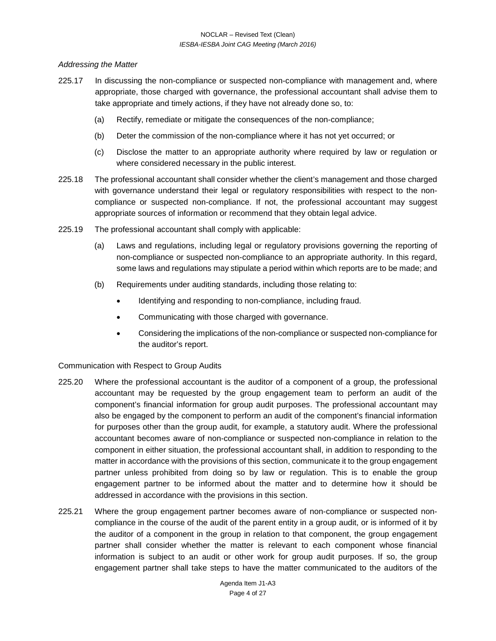## *Addressing the Matter*

- 225.17 In discussing the non-compliance or suspected non-compliance with management and, where appropriate, those charged with governance, the professional accountant shall advise them to take appropriate and timely actions, if they have not already done so, to:
	- (a) Rectify, remediate or mitigate the consequences of the non-compliance;
	- (b) Deter the commission of the non-compliance where it has not yet occurred; or
	- (c) Disclose the matter to an appropriate authority where required by law or regulation or where considered necessary in the public interest.
- 225.18 The professional accountant shall consider whether the client's management and those charged with governance understand their legal or regulatory responsibilities with respect to the noncompliance or suspected non-compliance. If not, the professional accountant may suggest appropriate sources of information or recommend that they obtain legal advice.
- 225.19 The professional accountant shall comply with applicable:
	- (a) Laws and regulations, including legal or regulatory provisions governing the reporting of non-compliance or suspected non-compliance to an appropriate authority. In this regard, some laws and regulations may stipulate a period within which reports are to be made; and
	- (b) Requirements under auditing standards, including those relating to:
		- Identifying and responding to non-compliance, including fraud.
		- Communicating with those charged with governance.
		- Considering the implications of the non-compliance or suspected non-compliance for the auditor's report.

## Communication with Respect to Group Audits

- 225.20 Where the professional accountant is the auditor of a component of a group, the professional accountant may be requested by the group engagement team to perform an audit of the component's financial information for group audit purposes. The professional accountant may also be engaged by the component to perform an audit of the component's financial information for purposes other than the group audit, for example, a statutory audit. Where the professional accountant becomes aware of non-compliance or suspected non-compliance in relation to the component in either situation, the professional accountant shall, in addition to responding to the matter in accordance with the provisions of this section, communicate it to the group engagement partner unless prohibited from doing so by law or regulation. This is to enable the group engagement partner to be informed about the matter and to determine how it should be addressed in accordance with the provisions in this section.
- 225.21 Where the group engagement partner becomes aware of non-compliance or suspected noncompliance in the course of the audit of the parent entity in a group audit, or is informed of it by the auditor of a component in the group in relation to that component, the group engagement partner shall consider whether the matter is relevant to each component whose financial information is subject to an audit or other work for group audit purposes. If so, the group engagement partner shall take steps to have the matter communicated to the auditors of the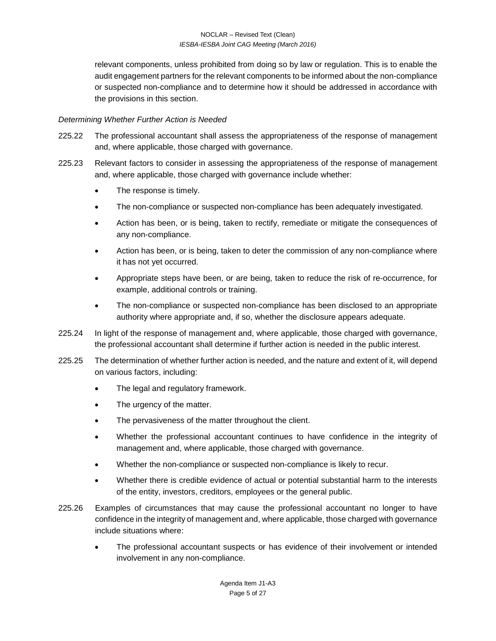relevant components, unless prohibited from doing so by law or regulation. This is to enable the audit engagement partners for the relevant components to be informed about the non-compliance or suspected non-compliance and to determine how it should be addressed in accordance with the provisions in this section.

## *Determining Whether Further Action is Needed*

- 225.22 The professional accountant shall assess the appropriateness of the response of management and, where applicable, those charged with governance.
- 225.23 Relevant factors to consider in assessing the appropriateness of the response of management and, where applicable, those charged with governance include whether:
	- The response is timely.
	- The non-compliance or suspected non-compliance has been adequately investigated.
	- Action has been, or is being, taken to rectify, remediate or mitigate the consequences of any non-compliance.
	- Action has been, or is being, taken to deter the commission of any non-compliance where it has not yet occurred.
	- Appropriate steps have been, or are being, taken to reduce the risk of re-occurrence, for example, additional controls or training.
	- The non-compliance or suspected non-compliance has been disclosed to an appropriate authority where appropriate and, if so, whether the disclosure appears adequate.
- 225.24 In light of the response of management and, where applicable, those charged with governance, the professional accountant shall determine if further action is needed in the public interest.
- 225.25 The determination of whether further action is needed, and the nature and extent of it, will depend on various factors, including:
	- The legal and regulatory framework.
	- The urgency of the matter.
	- The pervasiveness of the matter throughout the client.
	- Whether the professional accountant continues to have confidence in the integrity of management and, where applicable, those charged with governance.
	- Whether the non-compliance or suspected non-compliance is likely to recur.
	- Whether there is credible evidence of actual or potential substantial harm to the interests of the entity, investors, creditors, employees or the general public.
- 225.26 Examples of circumstances that may cause the professional accountant no longer to have confidence in the integrity of management and, where applicable, those charged with governance include situations where:
	- The professional accountant suspects or has evidence of their involvement or intended involvement in any non-compliance.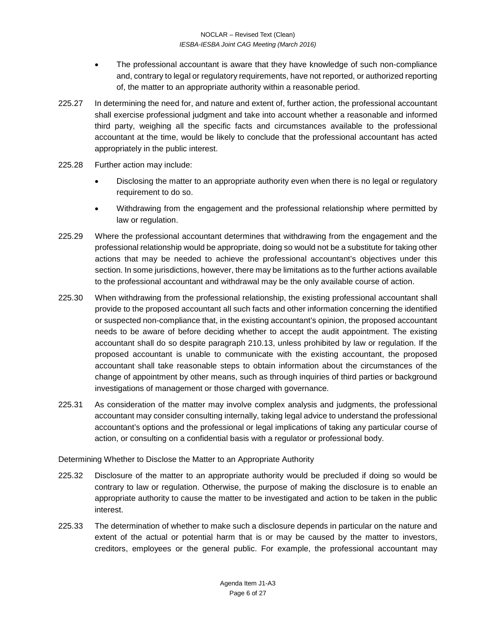- The professional accountant is aware that they have knowledge of such non-compliance and, contrary to legal or regulatory requirements, have not reported, or authorized reporting of, the matter to an appropriate authority within a reasonable period.
- 225.27 In determining the need for, and nature and extent of, further action, the professional accountant shall exercise professional judgment and take into account whether a reasonable and informed third party, weighing all the specific facts and circumstances available to the professional accountant at the time, would be likely to conclude that the professional accountant has acted appropriately in the public interest.
- 225.28 Further action may include:
	- Disclosing the matter to an appropriate authority even when there is no legal or regulatory requirement to do so.
	- Withdrawing from the engagement and the professional relationship where permitted by law or regulation.
- 225.29 Where the professional accountant determines that withdrawing from the engagement and the professional relationship would be appropriate, doing so would not be a substitute for taking other actions that may be needed to achieve the professional accountant's objectives under this section. In some jurisdictions, however, there may be limitations as to the further actions available to the professional accountant and withdrawal may be the only available course of action.
- 225.30 When withdrawing from the professional relationship, the existing professional accountant shall provide to the proposed accountant all such facts and other information concerning the identified or suspected non-compliance that, in the existing accountant's opinion, the proposed accountant needs to be aware of before deciding whether to accept the audit appointment. The existing accountant shall do so despite paragraph 210.13, unless prohibited by law or regulation. If the proposed accountant is unable to communicate with the existing accountant, the proposed accountant shall take reasonable steps to obtain information about the circumstances of the change of appointment by other means, such as through inquiries of third parties or background investigations of management or those charged with governance.
- 225.31 As consideration of the matter may involve complex analysis and judgments, the professional accountant may consider consulting internally, taking legal advice to understand the professional accountant's options and the professional or legal implications of taking any particular course of action, or consulting on a confidential basis with a regulator or professional body.

## Determining Whether to Disclose the Matter to an Appropriate Authority

- 225.32 Disclosure of the matter to an appropriate authority would be precluded if doing so would be contrary to law or regulation. Otherwise, the purpose of making the disclosure is to enable an appropriate authority to cause the matter to be investigated and action to be taken in the public interest.
- 225.33 The determination of whether to make such a disclosure depends in particular on the nature and extent of the actual or potential harm that is or may be caused by the matter to investors, creditors, employees or the general public. For example, the professional accountant may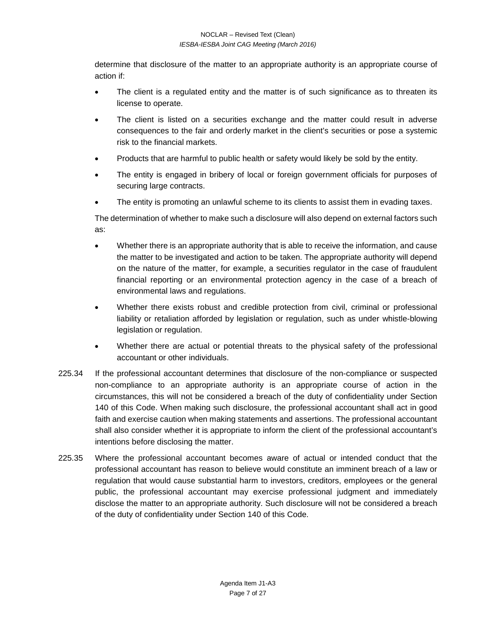determine that disclosure of the matter to an appropriate authority is an appropriate course of action if:

- The client is a regulated entity and the matter is of such significance as to threaten its license to operate.
- The client is listed on a securities exchange and the matter could result in adverse consequences to the fair and orderly market in the client's securities or pose a systemic risk to the financial markets.
- Products that are harmful to public health or safety would likely be sold by the entity.
- The entity is engaged in bribery of local or foreign government officials for purposes of securing large contracts.
- The entity is promoting an unlawful scheme to its clients to assist them in evading taxes.

The determination of whether to make such a disclosure will also depend on external factors such as:

- Whether there is an appropriate authority that is able to receive the information, and cause the matter to be investigated and action to be taken. The appropriate authority will depend on the nature of the matter, for example, a securities regulator in the case of fraudulent financial reporting or an environmental protection agency in the case of a breach of environmental laws and regulations.
- Whether there exists robust and credible protection from civil, criminal or professional liability or retaliation afforded by legislation or regulation, such as under whistle-blowing legislation or regulation.
- Whether there are actual or potential threats to the physical safety of the professional accountant or other individuals.
- 225.34 If the professional accountant determines that disclosure of the non-compliance or suspected non-compliance to an appropriate authority is an appropriate course of action in the circumstances, this will not be considered a breach of the duty of confidentiality under Section 140 of this Code. When making such disclosure, the professional accountant shall act in good faith and exercise caution when making statements and assertions. The professional accountant shall also consider whether it is appropriate to inform the client of the professional accountant's intentions before disclosing the matter.
- 225.35 Where the professional accountant becomes aware of actual or intended conduct that the professional accountant has reason to believe would constitute an imminent breach of a law or regulation that would cause substantial harm to investors, creditors, employees or the general public, the professional accountant may exercise professional judgment and immediately disclose the matter to an appropriate authority. Such disclosure will not be considered a breach of the duty of confidentiality under Section 140 of this Code.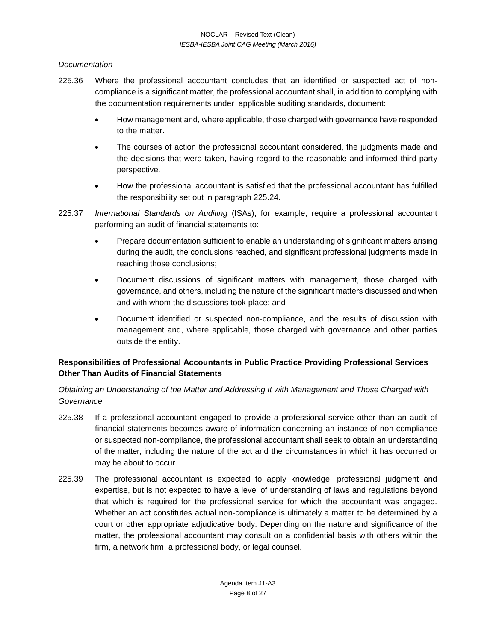## *Documentation*

- 225.36 Where the professional accountant concludes that an identified or suspected act of noncompliance is a significant matter, the professional accountant shall, in addition to complying with the documentation requirements under applicable auditing standards, document:
	- How management and, where applicable, those charged with governance have responded to the matter.
	- The courses of action the professional accountant considered, the judgments made and the decisions that were taken, having regard to the reasonable and informed third party perspective.
	- How the professional accountant is satisfied that the professional accountant has fulfilled the responsibility set out in paragraph 225.24.
- 225.37 *International Standards on Auditing* (ISAs), for example, require a professional accountant performing an audit of financial statements to:
	- Prepare documentation sufficient to enable an understanding of significant matters arising during the audit, the conclusions reached, and significant professional judgments made in reaching those conclusions;
	- Document discussions of significant matters with management, those charged with governance, and others, including the nature of the significant matters discussed and when and with whom the discussions took place; and
	- Document identified or suspected non-compliance, and the results of discussion with management and, where applicable, those charged with governance and other parties outside the entity.

## **Responsibilities of Professional Accountants in Public Practice Providing Professional Services Other Than Audits of Financial Statements**

# *Obtaining an Understanding of the Matter and Addressing It with Management and Those Charged with Governance*

- 225.38 If a professional accountant engaged to provide a professional service other than an audit of financial statements becomes aware of information concerning an instance of non-compliance or suspected non-compliance, the professional accountant shall seek to obtain an understanding of the matter, including the nature of the act and the circumstances in which it has occurred or may be about to occur.
- 225.39 The professional accountant is expected to apply knowledge, professional judgment and expertise, but is not expected to have a level of understanding of laws and regulations beyond that which is required for the professional service for which the accountant was engaged. Whether an act constitutes actual non-compliance is ultimately a matter to be determined by a court or other appropriate adjudicative body. Depending on the nature and significance of the matter, the professional accountant may consult on a confidential basis with others within the firm, a network firm, a professional body, or legal counsel.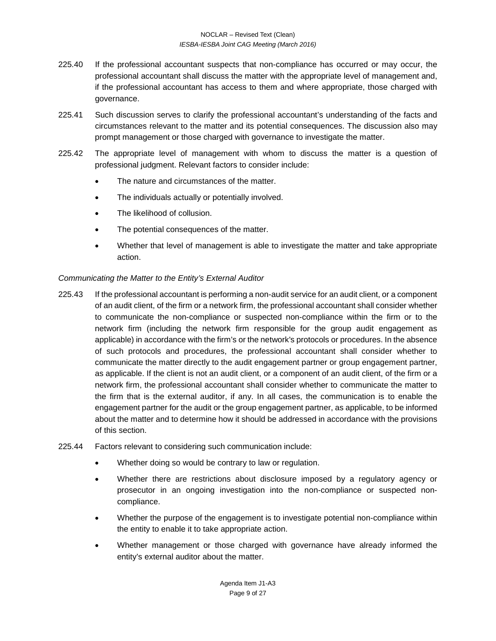- 225.40 If the professional accountant suspects that non-compliance has occurred or may occur, the professional accountant shall discuss the matter with the appropriate level of management and, if the professional accountant has access to them and where appropriate, those charged with governance.
- 225.41 Such discussion serves to clarify the professional accountant's understanding of the facts and circumstances relevant to the matter and its potential consequences. The discussion also may prompt management or those charged with governance to investigate the matter.
- 225.42 The appropriate level of management with whom to discuss the matter is a question of professional judgment. Relevant factors to consider include:
	- The nature and circumstances of the matter.
	- The individuals actually or potentially involved.
	- The likelihood of collusion.
	- The potential consequences of the matter.
	- Whether that level of management is able to investigate the matter and take appropriate action.

## *Communicating the Matter to the Entity's External Auditor*

- 225.43 If the professional accountant is performing a non-audit service for an audit client, or a component of an audit client, of the firm or a network firm, the professional accountant shall consider whether to communicate the non-compliance or suspected non-compliance within the firm or to the network firm (including the network firm responsible for the group audit engagement as applicable) in accordance with the firm's or the network's protocols or procedures. In the absence of such protocols and procedures, the professional accountant shall consider whether to communicate the matter directly to the audit engagement partner or group engagement partner, as applicable. If the client is not an audit client, or a component of an audit client, of the firm or a network firm, the professional accountant shall consider whether to communicate the matter to the firm that is the external auditor, if any. In all cases, the communication is to enable the engagement partner for the audit or the group engagement partner, as applicable, to be informed about the matter and to determine how it should be addressed in accordance with the provisions of this section.
- 225.44 Factors relevant to considering such communication include:
	- Whether doing so would be contrary to law or regulation.
	- Whether there are restrictions about disclosure imposed by a regulatory agency or prosecutor in an ongoing investigation into the non-compliance or suspected noncompliance.
	- Whether the purpose of the engagement is to investigate potential non-compliance within the entity to enable it to take appropriate action.
	- Whether management or those charged with governance have already informed the entity's external auditor about the matter.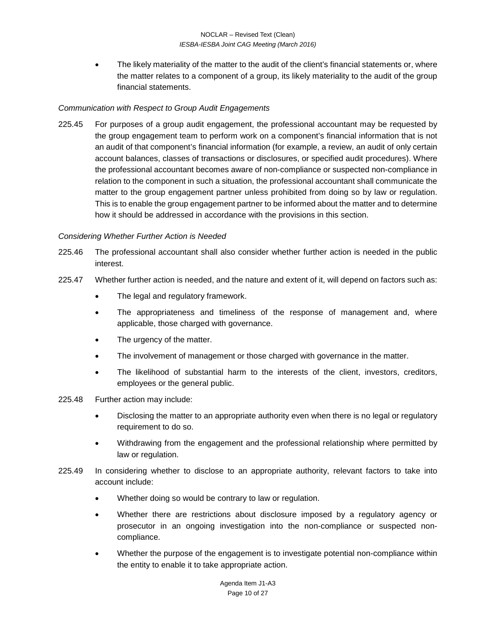The likely materiality of the matter to the audit of the client's financial statements or, where the matter relates to a component of a group, its likely materiality to the audit of the group financial statements.

## *Communication with Respect to Group Audit Engagements*

225.45 For purposes of a group audit engagement, the professional accountant may be requested by the group engagement team to perform work on a component's financial information that is not an audit of that component's financial information (for example, a review, an audit of only certain account balances, classes of transactions or disclosures, or specified audit procedures). Where the professional accountant becomes aware of non-compliance or suspected non-compliance in relation to the component in such a situation, the professional accountant shall communicate the matter to the group engagement partner unless prohibited from doing so by law or regulation. This is to enable the group engagement partner to be informed about the matter and to determine how it should be addressed in accordance with the provisions in this section.

# *Considering Whether Further Action is Needed*

- 225.46 The professional accountant shall also consider whether further action is needed in the public interest.
- 225.47 Whether further action is needed, and the nature and extent of it, will depend on factors such as:
	- The legal and regulatory framework.
	- The appropriateness and timeliness of the response of management and, where applicable, those charged with governance.
	- The urgency of the matter.
	- The involvement of management or those charged with governance in the matter.
	- The likelihood of substantial harm to the interests of the client, investors, creditors, employees or the general public.
- 225.48 Further action may include:
	- Disclosing the matter to an appropriate authority even when there is no legal or regulatory requirement to do so.
	- Withdrawing from the engagement and the professional relationship where permitted by law or regulation.
- 225.49 In considering whether to disclose to an appropriate authority, relevant factors to take into account include:
	- Whether doing so would be contrary to law or regulation.
	- Whether there are restrictions about disclosure imposed by a regulatory agency or prosecutor in an ongoing investigation into the non-compliance or suspected noncompliance.
	- Whether the purpose of the engagement is to investigate potential non-compliance within the entity to enable it to take appropriate action.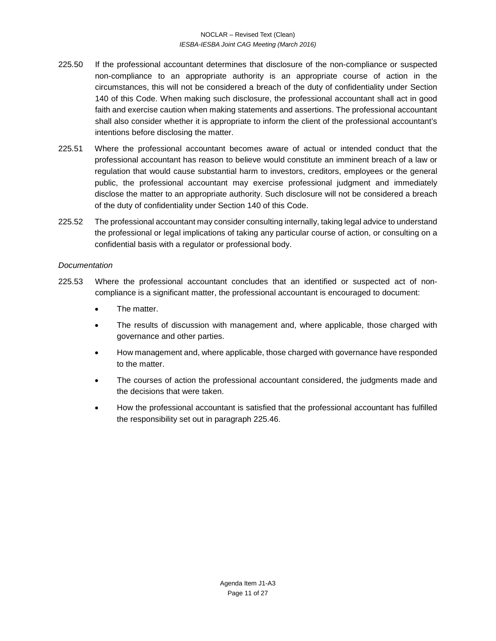- 225.50 If the professional accountant determines that disclosure of the non-compliance or suspected non-compliance to an appropriate authority is an appropriate course of action in the circumstances, this will not be considered a breach of the duty of confidentiality under Section 140 of this Code. When making such disclosure, the professional accountant shall act in good faith and exercise caution when making statements and assertions. The professional accountant shall also consider whether it is appropriate to inform the client of the professional accountant's intentions before disclosing the matter.
- 225.51 Where the professional accountant becomes aware of actual or intended conduct that the professional accountant has reason to believe would constitute an imminent breach of a law or regulation that would cause substantial harm to investors, creditors, employees or the general public, the professional accountant may exercise professional judgment and immediately disclose the matter to an appropriate authority. Such disclosure will not be considered a breach of the duty of confidentiality under Section 140 of this Code.
- 225.52 The professional accountant may consider consulting internally, taking legal advice to understand the professional or legal implications of taking any particular course of action, or consulting on a confidential basis with a regulator or professional body.

## *Documentation*

- 225.53 Where the professional accountant concludes that an identified or suspected act of noncompliance is a significant matter, the professional accountant is encouraged to document:
	- The matter.
	- The results of discussion with management and, where applicable, those charged with governance and other parties.
	- How management and, where applicable, those charged with governance have responded to the matter.
	- The courses of action the professional accountant considered, the judgments made and the decisions that were taken.
	- How the professional accountant is satisfied that the professional accountant has fulfilled the responsibility set out in paragraph 225.46.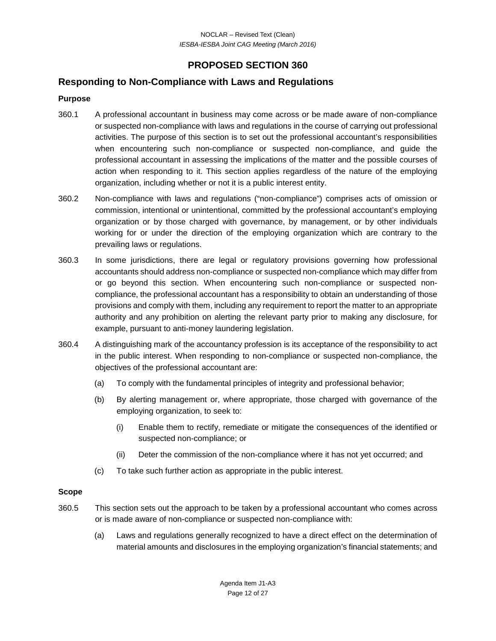# **PROPOSED SECTION 360**

# **Responding to Non-Compliance with Laws and Regulations**

## **Purpose**

- 360.1 A professional accountant in business may come across or be made aware of non-compliance or suspected non-compliance with laws and regulations in the course of carrying out professional activities. The purpose of this section is to set out the professional accountant's responsibilities when encountering such non-compliance or suspected non-compliance, and guide the professional accountant in assessing the implications of the matter and the possible courses of action when responding to it. This section applies regardless of the nature of the employing organization, including whether or not it is a public interest entity.
- 360.2 Non-compliance with laws and regulations ("non-compliance") comprises acts of omission or commission, intentional or unintentional, committed by the professional accountant's employing organization or by those charged with governance, by management, or by other individuals working for or under the direction of the employing organization which are contrary to the prevailing laws or regulations.
- 360.3 In some jurisdictions, there are legal or regulatory provisions governing how professional accountants should address non-compliance or suspected non-compliance which may differ from or go beyond this section. When encountering such non-compliance or suspected noncompliance, the professional accountant has a responsibility to obtain an understanding of those provisions and comply with them, including any requirement to report the matter to an appropriate authority and any prohibition on alerting the relevant party prior to making any disclosure, for example, pursuant to anti-money laundering legislation.
- 360.4 A distinguishing mark of the accountancy profession is its acceptance of the responsibility to act in the public interest. When responding to non-compliance or suspected non-compliance, the objectives of the professional accountant are:
	- (a) To comply with the fundamental principles of integrity and professional behavior;
	- (b) By alerting management or, where appropriate, those charged with governance of the employing organization, to seek to:
		- (i) Enable them to rectify, remediate or mitigate the consequences of the identified or suspected non-compliance; or
		- (ii) Deter the commission of the non-compliance where it has not yet occurred; and
	- (c) To take such further action as appropriate in the public interest.

## **Scope**

- 360.5 This section sets out the approach to be taken by a professional accountant who comes across or is made aware of non-compliance or suspected non-compliance with:
	- (a) Laws and regulations generally recognized to have a direct effect on the determination of material amounts and disclosures in the employing organization's financial statements; and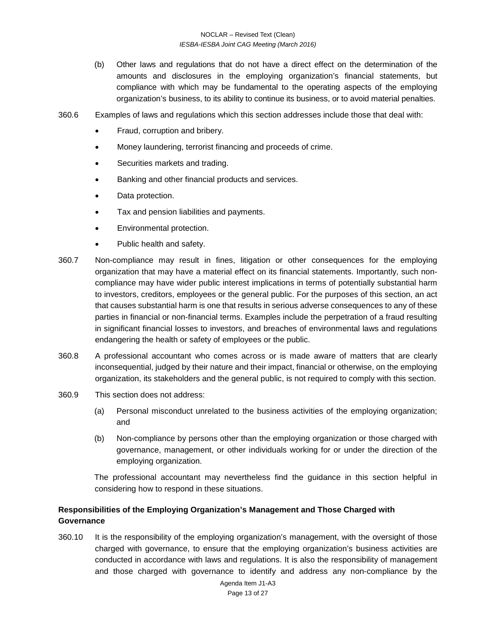- (b) Other laws and regulations that do not have a direct effect on the determination of the amounts and disclosures in the employing organization's financial statements, but compliance with which may be fundamental to the operating aspects of the employing organization's business, to its ability to continue its business, or to avoid material penalties.
- 360.6 Examples of laws and regulations which this section addresses include those that deal with:
	- Fraud, corruption and bribery.
	- Money laundering, terrorist financing and proceeds of crime.
	- Securities markets and trading.
	- Banking and other financial products and services.
	- Data protection.
	- Tax and pension liabilities and payments.
	- Environmental protection.
	- Public health and safety.
- 360.7 Non-compliance may result in fines, litigation or other consequences for the employing organization that may have a material effect on its financial statements. Importantly, such noncompliance may have wider public interest implications in terms of potentially substantial harm to investors, creditors, employees or the general public. For the purposes of this section, an act that causes substantial harm is one that results in serious adverse consequences to any of these parties in financial or non-financial terms. Examples include the perpetration of a fraud resulting in significant financial losses to investors, and breaches of environmental laws and regulations endangering the health or safety of employees or the public.
- 360.8 A professional accountant who comes across or is made aware of matters that are clearly inconsequential, judged by their nature and their impact, financial or otherwise, on the employing organization, its stakeholders and the general public, is not required to comply with this section.
- 360.9 This section does not address:
	- (a) Personal misconduct unrelated to the business activities of the employing organization; and
	- (b) Non-compliance by persons other than the employing organization or those charged with governance, management, or other individuals working for or under the direction of the employing organization.

The professional accountant may nevertheless find the guidance in this section helpful in considering how to respond in these situations.

## **Responsibilities of the Employing Organization's Management and Those Charged with Governance**

360.10 It is the responsibility of the employing organization's management, with the oversight of those charged with governance, to ensure that the employing organization's business activities are conducted in accordance with laws and regulations. It is also the responsibility of management and those charged with governance to identify and address any non-compliance by the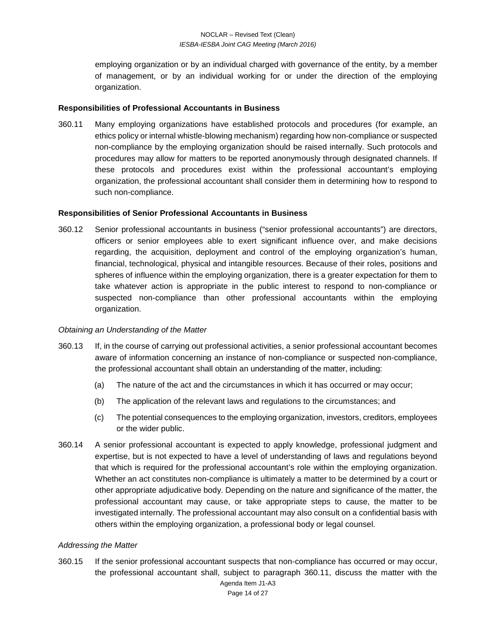employing organization or by an individual charged with governance of the entity, by a member of management, or by an individual working for or under the direction of the employing organization.

### **Responsibilities of Professional Accountants in Business**

360.11 Many employing organizations have established protocols and procedures (for example, an ethics policy or internal whistle-blowing mechanism) regarding how non-compliance or suspected non-compliance by the employing organization should be raised internally. Such protocols and procedures may allow for matters to be reported anonymously through designated channels. If these protocols and procedures exist within the professional accountant's employing organization, the professional accountant shall consider them in determining how to respond to such non-compliance.

### **Responsibilities of Senior Professional Accountants in Business**

360.12 Senior professional accountants in business ("senior professional accountants") are directors, officers or senior employees able to exert significant influence over, and make decisions regarding, the acquisition, deployment and control of the employing organization's human, financial, technological, physical and intangible resources. Because of their roles, positions and spheres of influence within the employing organization, there is a greater expectation for them to take whatever action is appropriate in the public interest to respond to non-compliance or suspected non-compliance than other professional accountants within the employing organization.

## *Obtaining an Understanding of the Matter*

- 360.13 If, in the course of carrying out professional activities, a senior professional accountant becomes aware of information concerning an instance of non-compliance or suspected non-compliance, the professional accountant shall obtain an understanding of the matter, including:
	- (a) The nature of the act and the circumstances in which it has occurred or may occur;
	- (b) The application of the relevant laws and regulations to the circumstances; and
	- (c) The potential consequences to the employing organization, investors, creditors, employees or the wider public.
- 360.14 A senior professional accountant is expected to apply knowledge, professional judgment and expertise, but is not expected to have a level of understanding of laws and regulations beyond that which is required for the professional accountant's role within the employing organization. Whether an act constitutes non-compliance is ultimately a matter to be determined by a court or other appropriate adjudicative body. Depending on the nature and significance of the matter, the professional accountant may cause, or take appropriate steps to cause, the matter to be investigated internally. The professional accountant may also consult on a confidential basis with others within the employing organization, a professional body or legal counsel.

#### *Addressing the Matter*

Agenda Item J1-A3 Page 14 of 27 360.15 If the senior professional accountant suspects that non-compliance has occurred or may occur, the professional accountant shall, subject to paragraph 360.11, discuss the matter with the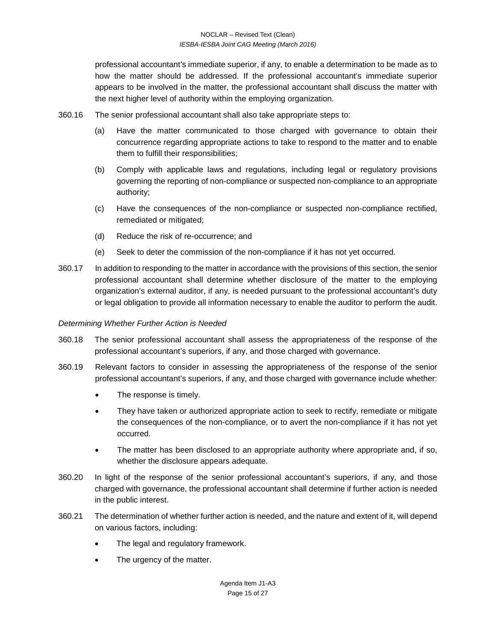professional accountant's immediate superior, if any, to enable a determination to be made as to how the matter should be addressed. If the professional accountant's immediate superior appears to be involved in the matter, the professional accountant shall discuss the matter with the next higher level of authority within the employing organization.

- 360.16 The senior professional accountant shall also take appropriate steps to:
	- (a) Have the matter communicated to those charged with governance to obtain their concurrence regarding appropriate actions to take to respond to the matter and to enable them to fulfill their responsibilities;
	- (b) Comply with applicable laws and regulations, including legal or regulatory provisions governing the reporting of non-compliance or suspected non-compliance to an appropriate authority;
	- (c) Have the consequences of the non-compliance or suspected non-compliance rectified, remediated or mitigated;
	- (d) Reduce the risk of re-occurrence; and
	- (e) Seek to deter the commission of the non-compliance if it has not yet occurred.
- 360.17 In addition to responding to the matter in accordance with the provisions of this section, the senior professional accountant shall determine whether disclosure of the matter to the employing organization's external auditor, if any, is needed pursuant to the professional accountant's duty or legal obligation to provide all information necessary to enable the auditor to perform the audit.

### *Determining Whether Further Action is Needed*

- 360.18 The senior professional accountant shall assess the appropriateness of the response of the professional accountant's superiors, if any, and those charged with governance.
- 360.19 Relevant factors to consider in assessing the appropriateness of the response of the senior professional accountant's superiors, if any, and those charged with governance include whether:
	- The response is timely.
	- They have taken or authorized appropriate action to seek to rectify, remediate or mitigate the consequences of the non-compliance, or to avert the non-compliance if it has not yet occurred.
	- The matter has been disclosed to an appropriate authority where appropriate and, if so, whether the disclosure appears adequate.
- 360.20 In light of the response of the senior professional accountant's superiors, if any, and those charged with governance, the professional accountant shall determine if further action is needed in the public interest.
- 360.21 The determination of whether further action is needed, and the nature and extent of it, will depend on various factors, including:
	- The legal and regulatory framework.
	- The urgency of the matter.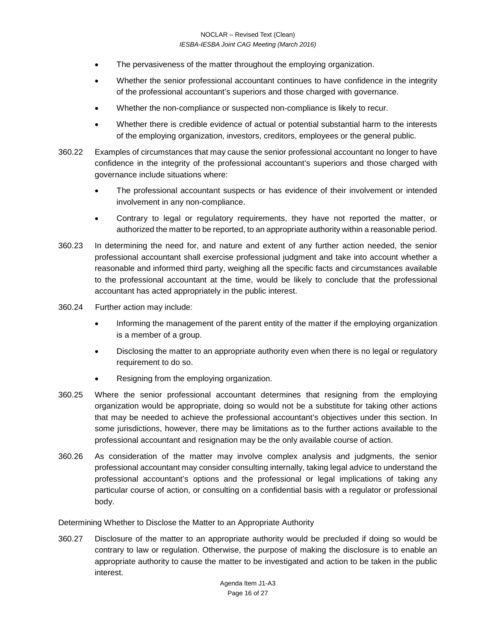- The pervasiveness of the matter throughout the employing organization.
- Whether the senior professional accountant continues to have confidence in the integrity of the professional accountant's superiors and those charged with governance.
- Whether the non-compliance or suspected non-compliance is likely to recur.
- Whether there is credible evidence of actual or potential substantial harm to the interests of the employing organization, investors, creditors, employees or the general public.
- 360.22 Examples of circumstances that may cause the senior professional accountant no longer to have confidence in the integrity of the professional accountant's superiors and those charged with governance include situations where:
	- The professional accountant suspects or has evidence of their involvement or intended involvement in any non-compliance.
	- Contrary to legal or regulatory requirements, they have not reported the matter, or authorized the matter to be reported, to an appropriate authority within a reasonable period.
- 360.23 In determining the need for, and nature and extent of any further action needed, the senior professional accountant shall exercise professional judgment and take into account whether a reasonable and informed third party, weighing all the specific facts and circumstances available to the professional accountant at the time, would be likely to conclude that the professional accountant has acted appropriately in the public interest.
- 360.24 Further action may include:
	- Informing the management of the parent entity of the matter if the employing organization is a member of a group.
	- Disclosing the matter to an appropriate authority even when there is no legal or regulatory requirement to do so.
	- Resigning from the employing organization.
- 360.25 Where the senior professional accountant determines that resigning from the employing organization would be appropriate, doing so would not be a substitute for taking other actions that may be needed to achieve the professional accountant's objectives under this section. In some jurisdictions, however, there may be limitations as to the further actions available to the professional accountant and resignation may be the only available course of action.
- 360.26 As consideration of the matter may involve complex analysis and judgments, the senior professional accountant may consider consulting internally, taking legal advice to understand the professional accountant's options and the professional or legal implications of taking any particular course of action, or consulting on a confidential basis with a regulator or professional body.

## Determining Whether to Disclose the Matter to an Appropriate Authority

360.27 Disclosure of the matter to an appropriate authority would be precluded if doing so would be contrary to law or regulation. Otherwise, the purpose of making the disclosure is to enable an appropriate authority to cause the matter to be investigated and action to be taken in the public interest.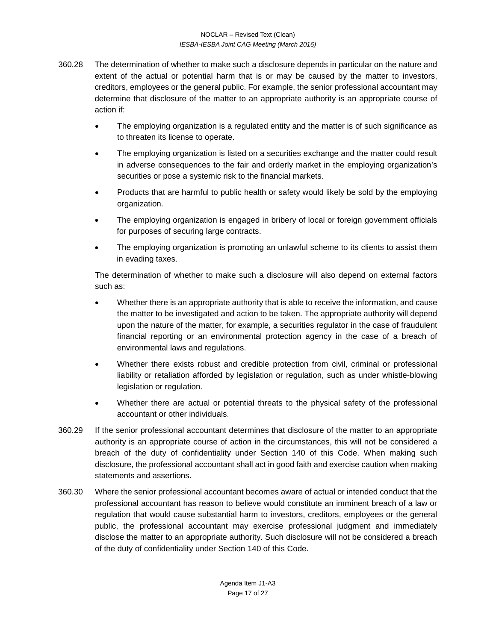- 360.28 The determination of whether to make such a disclosure depends in particular on the nature and extent of the actual or potential harm that is or may be caused by the matter to investors, creditors, employees or the general public. For example, the senior professional accountant may determine that disclosure of the matter to an appropriate authority is an appropriate course of action if:
	- The employing organization is a regulated entity and the matter is of such significance as to threaten its license to operate.
	- The employing organization is listed on a securities exchange and the matter could result in adverse consequences to the fair and orderly market in the employing organization's securities or pose a systemic risk to the financial markets.
	- Products that are harmful to public health or safety would likely be sold by the employing organization.
	- The employing organization is engaged in bribery of local or foreign government officials for purposes of securing large contracts.
	- The employing organization is promoting an unlawful scheme to its clients to assist them in evading taxes.

The determination of whether to make such a disclosure will also depend on external factors such as:

- Whether there is an appropriate authority that is able to receive the information, and cause the matter to be investigated and action to be taken. The appropriate authority will depend upon the nature of the matter, for example, a securities regulator in the case of fraudulent financial reporting or an environmental protection agency in the case of a breach of environmental laws and regulations.
- Whether there exists robust and credible protection from civil, criminal or professional liability or retaliation afforded by legislation or regulation, such as under whistle-blowing legislation or regulation.
- Whether there are actual or potential threats to the physical safety of the professional accountant or other individuals.
- 360.29 If the senior professional accountant determines that disclosure of the matter to an appropriate authority is an appropriate course of action in the circumstances, this will not be considered a breach of the duty of confidentiality under Section 140 of this Code. When making such disclosure, the professional accountant shall act in good faith and exercise caution when making statements and assertions.
- 360.30 Where the senior professional accountant becomes aware of actual or intended conduct that the professional accountant has reason to believe would constitute an imminent breach of a law or regulation that would cause substantial harm to investors, creditors, employees or the general public, the professional accountant may exercise professional judgment and immediately disclose the matter to an appropriate authority. Such disclosure will not be considered a breach of the duty of confidentiality under Section 140 of this Code.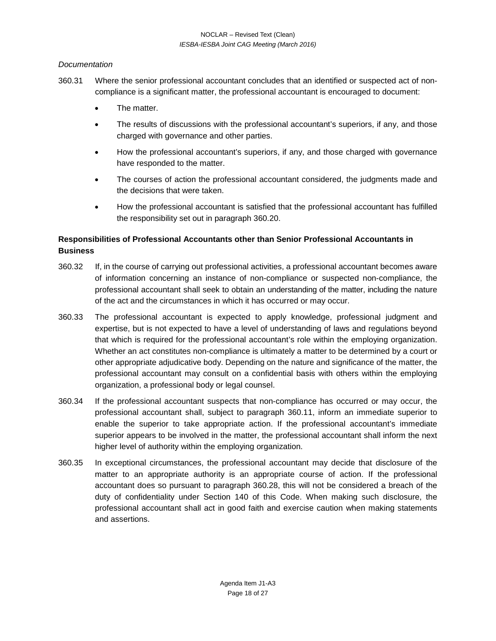## *Documentation*

- 360.31 Where the senior professional accountant concludes that an identified or suspected act of noncompliance is a significant matter, the professional accountant is encouraged to document:
	- The matter.
	- The results of discussions with the professional accountant's superiors, if any, and those charged with governance and other parties.
	- How the professional accountant's superiors, if any, and those charged with governance have responded to the matter.
	- The courses of action the professional accountant considered, the judgments made and the decisions that were taken.
	- How the professional accountant is satisfied that the professional accountant has fulfilled the responsibility set out in paragraph 360.20.

# **Responsibilities of Professional Accountants other than Senior Professional Accountants in Business**

- 360.32 If, in the course of carrying out professional activities, a professional accountant becomes aware of information concerning an instance of non-compliance or suspected non-compliance, the professional accountant shall seek to obtain an understanding of the matter, including the nature of the act and the circumstances in which it has occurred or may occur.
- 360.33 The professional accountant is expected to apply knowledge, professional judgment and expertise, but is not expected to have a level of understanding of laws and regulations beyond that which is required for the professional accountant's role within the employing organization. Whether an act constitutes non-compliance is ultimately a matter to be determined by a court or other appropriate adjudicative body. Depending on the nature and significance of the matter, the professional accountant may consult on a confidential basis with others within the employing organization, a professional body or legal counsel.
- 360.34 If the professional accountant suspects that non-compliance has occurred or may occur, the professional accountant shall, subject to paragraph 360.11, inform an immediate superior to enable the superior to take appropriate action. If the professional accountant's immediate superior appears to be involved in the matter, the professional accountant shall inform the next higher level of authority within the employing organization.
- 360.35 In exceptional circumstances, the professional accountant may decide that disclosure of the matter to an appropriate authority is an appropriate course of action. If the professional accountant does so pursuant to paragraph 360.28, this will not be considered a breach of the duty of confidentiality under Section 140 of this Code. When making such disclosure, the professional accountant shall act in good faith and exercise caution when making statements and assertions.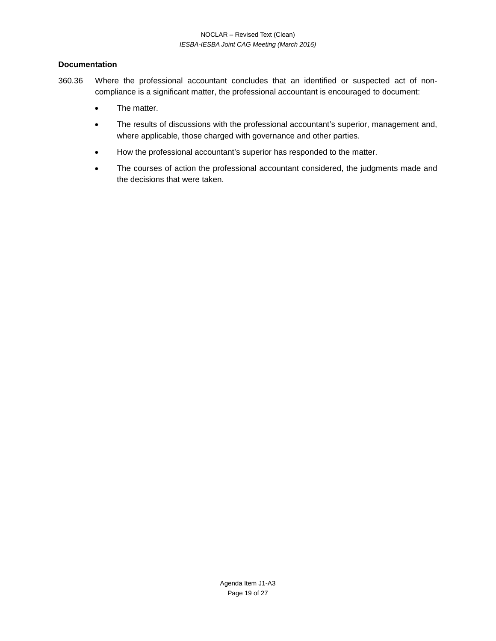## **Documentation**

- 360.36 Where the professional accountant concludes that an identified or suspected act of noncompliance is a significant matter, the professional accountant is encouraged to document:
	- The matter.
	- The results of discussions with the professional accountant's superior, management and, where applicable, those charged with governance and other parties.
	- How the professional accountant's superior has responded to the matter.
	- The courses of action the professional accountant considered, the judgments made and the decisions that were taken.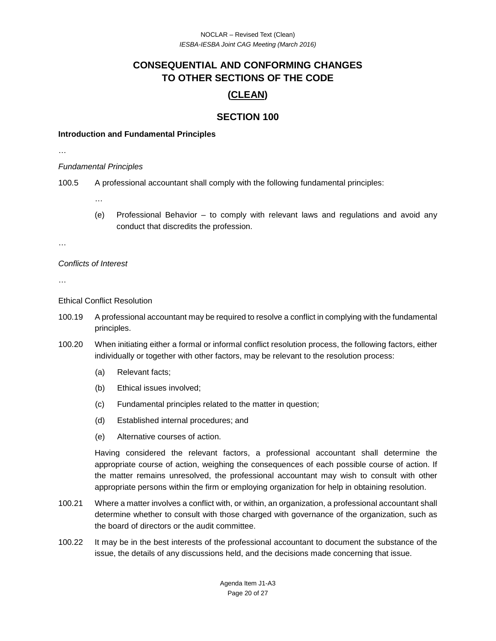# **CONSEQUENTIAL AND CONFORMING CHANGES TO OTHER SECTIONS OF THE CODE**

# **(CLEAN)**

# **SECTION 100**

## **Introduction and Fundamental Principles**

…

## *Fundamental Principles*

100.5 A professional accountant shall comply with the following fundamental principles:

- …
- (e) Professional Behavior to comply with relevant laws and regulations and avoid any conduct that discredits the profession.

…

## *Conflicts of Interest*

…

## Ethical Conflict Resolution

- 100.19 A professional accountant may be required to resolve a conflict in complying with the fundamental principles.
- 100.20 When initiating either a formal or informal conflict resolution process, the following factors, either individually or together with other factors, may be relevant to the resolution process:
	- (a) Relevant facts;
	- (b) Ethical issues involved;
	- (c) Fundamental principles related to the matter in question;
	- (d) Established internal procedures; and
	- (e) Alternative courses of action.

Having considered the relevant factors, a professional accountant shall determine the appropriate course of action, weighing the consequences of each possible course of action. If the matter remains unresolved, the professional accountant may wish to consult with other appropriate persons within the firm or employing organization for help in obtaining resolution.

- 100.21 Where a matter involves a conflict with, or within, an organization, a professional accountant shall determine whether to consult with those charged with governance of the organization, such as the board of directors or the audit committee.
- 100.22 It may be in the best interests of the professional accountant to document the substance of the issue, the details of any discussions held, and the decisions made concerning that issue.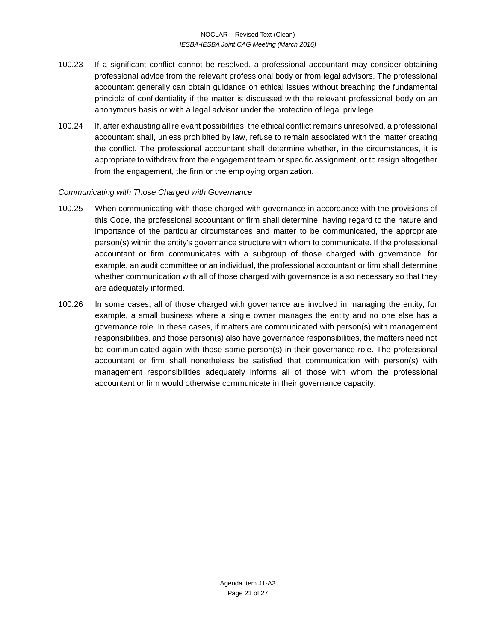- 100.23 If a significant conflict cannot be resolved, a professional accountant may consider obtaining professional advice from the relevant professional body or from legal advisors. The professional accountant generally can obtain guidance on ethical issues without breaching the fundamental principle of confidentiality if the matter is discussed with the relevant professional body on an anonymous basis or with a legal advisor under the protection of legal privilege.
- 100.24 If, after exhausting all relevant possibilities, the ethical conflict remains unresolved, a professional accountant shall, unless prohibited by law, refuse to remain associated with the matter creating the conflict. The professional accountant shall determine whether, in the circumstances, it is appropriate to withdraw from the engagement team or specific assignment, or to resign altogether from the engagement, the firm or the employing organization.

### *Communicating with Those Charged with Governance*

- 100.25 When communicating with those charged with governance in accordance with the provisions of this Code, the professional accountant or firm shall determine, having regard to the nature and importance of the particular circumstances and matter to be communicated, the appropriate person(s) within the entity's governance structure with whom to communicate. If the professional accountant or firm communicates with a subgroup of those charged with governance, for example, an audit committee or an individual, the professional accountant or firm shall determine whether communication with all of those charged with governance is also necessary so that they are adequately informed.
- 100.26 In some cases, all of those charged with governance are involved in managing the entity, for example, a small business where a single owner manages the entity and no one else has a governance role. In these cases, if matters are communicated with person(s) with management responsibilities, and those person(s) also have governance responsibilities, the matters need not be communicated again with those same person(s) in their governance role. The professional accountant or firm shall nonetheless be satisfied that communication with person(s) with management responsibilities adequately informs all of those with whom the professional accountant or firm would otherwise communicate in their governance capacity.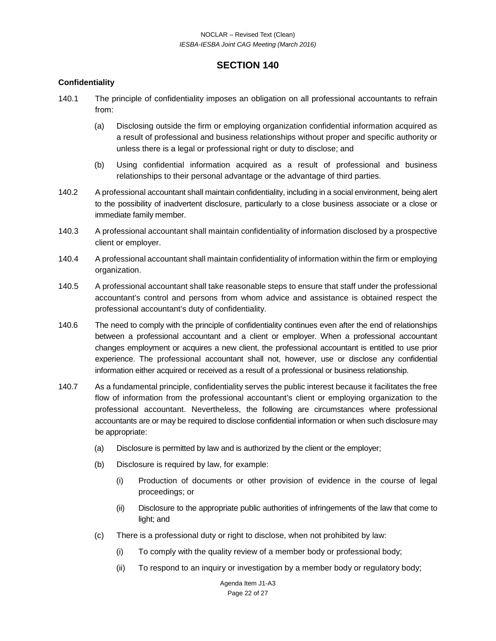# **SECTION 140**

## **Confidentiality**

- 140.1 The principle of confidentiality imposes an obligation on all professional accountants to refrain from:
	- (a) Disclosing outside the firm or employing organization confidential information acquired as a result of professional and business relationships without proper and specific authority or unless there is a legal or professional right or duty to disclose; and
	- (b) Using confidential information acquired as a result of professional and business relationships to their personal advantage or the advantage of third parties.
- 140.2 A professional accountant shall maintain confidentiality, including in a social environment, being alert to the possibility of inadvertent disclosure, particularly to a close business associate or a close or immediate family member.
- 140.3 A professional accountant shall maintain confidentiality of information disclosed by a prospective client or employer.
- 140.4 A professional accountant shall maintain confidentiality of information within the firm or employing organization.
- 140.5 A professional accountant shall take reasonable steps to ensure that staff under the professional accountant's control and persons from whom advice and assistance is obtained respect the professional accountant's duty of confidentiality.
- 140.6 The need to comply with the principle of confidentiality continues even after the end of relationships between a professional accountant and a client or employer. When a professional accountant changes employment or acquires a new client, the professional accountant is entitled to use prior experience. The professional accountant shall not, however, use or disclose any confidential information either acquired or received as a result of a professional or business relationship.
- 140.7 As a fundamental principle, confidentiality serves the public interest because it facilitates the free flow of information from the professional accountant's client or employing organization to the professional accountant. Nevertheless, the following are circumstances where professional accountants are or may be required to disclose confidential information or when such disclosure may be appropriate:
	- (a) Disclosure is permitted by law and is authorized by the client or the employer;
	- (b) Disclosure is required by law, for example:
		- (i) Production of documents or other provision of evidence in the course of legal proceedings; or
		- (ii) Disclosure to the appropriate public authorities of infringements of the law that come to light; and
	- (c) There is a professional duty or right to disclose, when not prohibited by law:
		- (i) To comply with the quality review of a member body or professional body;
		- (ii) To respond to an inquiry or investigation by a member body or regulatory body;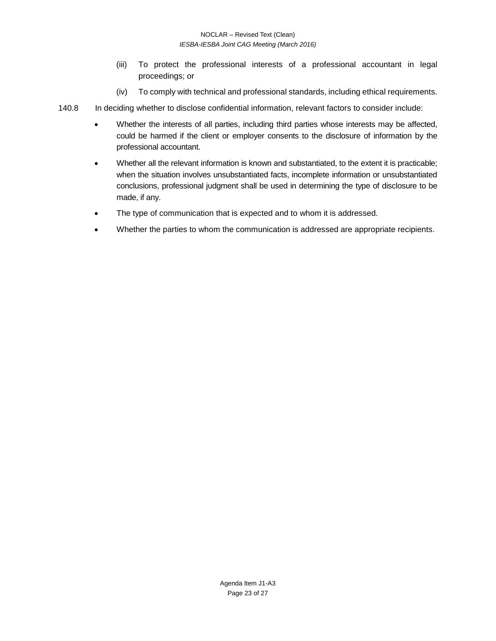- (iii) To protect the professional interests of a professional accountant in legal proceedings; or
- (iv) To comply with technical and professional standards, including ethical requirements.
- 140.8 In deciding whether to disclose confidential information, relevant factors to consider include:
	- Whether the interests of all parties, including third parties whose interests may be affected, could be harmed if the client or employer consents to the disclosure of information by the professional accountant.
	- Whether all the relevant information is known and substantiated, to the extent it is practicable; when the situation involves unsubstantiated facts, incomplete information or unsubstantiated conclusions, professional judgment shall be used in determining the type of disclosure to be made, if any.
	- The type of communication that is expected and to whom it is addressed.
	- Whether the parties to whom the communication is addressed are appropriate recipients.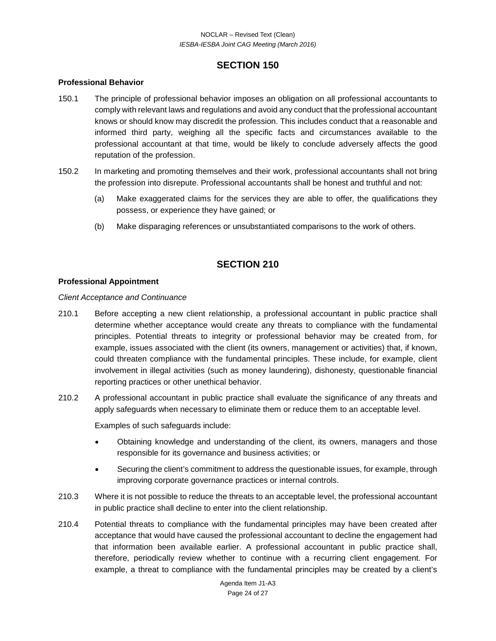# **SECTION 150**

## **Professional Behavior**

- 150.1 The principle of professional behavior imposes an obligation on all professional accountants to comply with relevant laws and regulations and avoid any conduct that the professional accountant knows or should know may discredit the profession. This includes conduct that a reasonable and informed third party, weighing all the specific facts and circumstances available to the professional accountant at that time, would be likely to conclude adversely affects the good reputation of the profession.
- 150.2 In marketing and promoting themselves and their work, professional accountants shall not bring the profession into disrepute. Professional accountants shall be honest and truthful and not:
	- (a) Make exaggerated claims for the services they are able to offer, the qualifications they possess, or experience they have gained; or
	- (b) Make disparaging references or unsubstantiated comparisons to the work of others.

# **SECTION 210**

### **Professional Appointment**

#### *Client Acceptance and Continuance*

- 210.1 Before accepting a new client relationship, a professional accountant in public practice shall determine whether acceptance would create any threats to compliance with the fundamental principles. Potential threats to integrity or professional behavior may be created from, for example, issues associated with the client (its owners, management or activities) that, if known, could threaten compliance with the fundamental principles. These include, for example, client involvement in illegal activities (such as money laundering), dishonesty, questionable financial reporting practices or other unethical behavior.
- 210.2 A professional accountant in public practice shall evaluate the significance of any threats and apply safeguards when necessary to eliminate them or reduce them to an acceptable level.

Examples of such safeguards include:

- Obtaining knowledge and understanding of the client, its owners, managers and those responsible for its governance and business activities; or
- Securing the client's commitment to address the questionable issues, for example, through improving corporate governance practices or internal controls.
- 210.3 Where it is not possible to reduce the threats to an acceptable level, the professional accountant in public practice shall decline to enter into the client relationship.
- 210.4 Potential threats to compliance with the fundamental principles may have been created after acceptance that would have caused the professional accountant to decline the engagement had that information been available earlier. A professional accountant in public practice shall, therefore, periodically review whether to continue with a recurring client engagement. For example, a threat to compliance with the fundamental principles may be created by a client's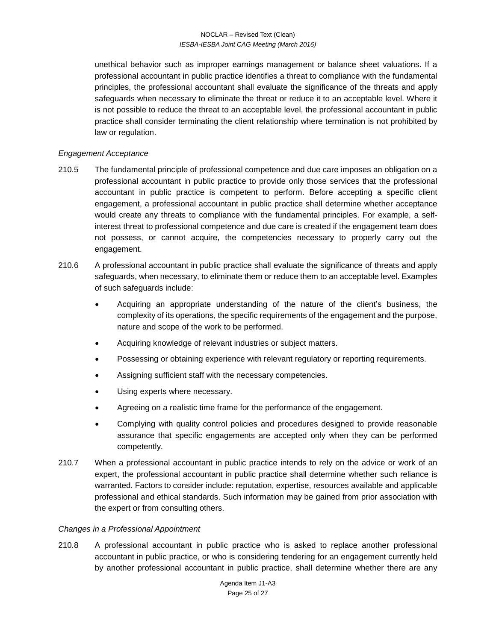unethical behavior such as improper earnings management or balance sheet valuations. If a professional accountant in public practice identifies a threat to compliance with the fundamental principles, the professional accountant shall evaluate the significance of the threats and apply safeguards when necessary to eliminate the threat or reduce it to an acceptable level. Where it is not possible to reduce the threat to an acceptable level, the professional accountant in public practice shall consider terminating the client relationship where termination is not prohibited by law or regulation.

## *Engagement Acceptance*

- 210.5 The fundamental principle of professional competence and due care imposes an obligation on a professional accountant in public practice to provide only those services that the professional accountant in public practice is competent to perform. Before accepting a specific client engagement, a professional accountant in public practice shall determine whether acceptance would create any threats to compliance with the fundamental principles. For example, a selfinterest threat to professional competence and due care is created if the engagement team does not possess, or cannot acquire, the competencies necessary to properly carry out the engagement.
- 210.6 A professional accountant in public practice shall evaluate the significance of threats and apply safeguards, when necessary, to eliminate them or reduce them to an acceptable level. Examples of such safeguards include:
	- Acquiring an appropriate understanding of the nature of the client's business, the complexity of its operations, the specific requirements of the engagement and the purpose, nature and scope of the work to be performed.
	- Acquiring knowledge of relevant industries or subject matters.
	- Possessing or obtaining experience with relevant regulatory or reporting requirements.
	- Assigning sufficient staff with the necessary competencies.
	- Using experts where necessary.
	- Agreeing on a realistic time frame for the performance of the engagement.
	- Complying with quality control policies and procedures designed to provide reasonable assurance that specific engagements are accepted only when they can be performed competently.
- 210.7 When a professional accountant in public practice intends to rely on the advice or work of an expert, the professional accountant in public practice shall determine whether such reliance is warranted. Factors to consider include: reputation, expertise, resources available and applicable professional and ethical standards. Such information may be gained from prior association with the expert or from consulting others.

## *Changes in a Professional Appointment*

210.8 A professional accountant in public practice who is asked to replace another professional accountant in public practice, or who is considering tendering for an engagement currently held by another professional accountant in public practice, shall determine whether there are any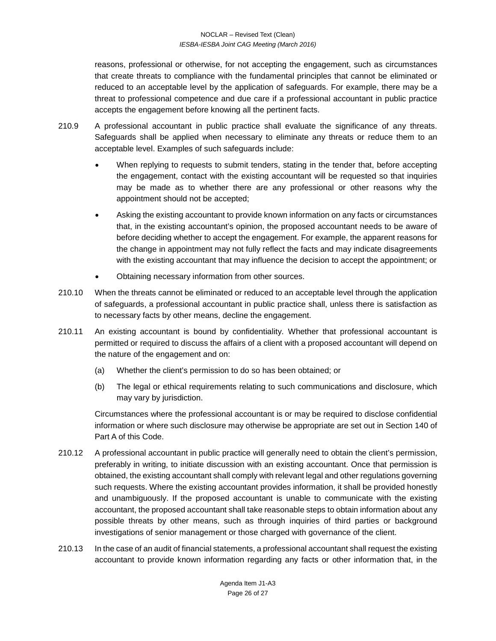reasons, professional or otherwise, for not accepting the engagement, such as circumstances that create threats to compliance with the fundamental principles that cannot be eliminated or reduced to an acceptable level by the application of safeguards. For example, there may be a threat to professional competence and due care if a professional accountant in public practice accepts the engagement before knowing all the pertinent facts.

- 210.9 A professional accountant in public practice shall evaluate the significance of any threats. Safeguards shall be applied when necessary to eliminate any threats or reduce them to an acceptable level. Examples of such safeguards include:
	- When replying to requests to submit tenders, stating in the tender that, before accepting the engagement, contact with the existing accountant will be requested so that inquiries may be made as to whether there are any professional or other reasons why the appointment should not be accepted;
	- Asking the existing accountant to provide known information on any facts or circumstances that, in the existing accountant's opinion, the proposed accountant needs to be aware of before deciding whether to accept the engagement. For example, the apparent reasons for the change in appointment may not fully reflect the facts and may indicate disagreements with the existing accountant that may influence the decision to accept the appointment; or
	- Obtaining necessary information from other sources.
- 210.10 When the threats cannot be eliminated or reduced to an acceptable level through the application of safeguards, a professional accountant in public practice shall, unless there is satisfaction as to necessary facts by other means, decline the engagement.
- 210.11 An existing accountant is bound by confidentiality. Whether that professional accountant is permitted or required to discuss the affairs of a client with a proposed accountant will depend on the nature of the engagement and on:
	- (a) Whether the client's permission to do so has been obtained; or
	- (b) The legal or ethical requirements relating to such communications and disclosure, which may vary by jurisdiction.

Circumstances where the professional accountant is or may be required to disclose confidential information or where such disclosure may otherwise be appropriate are set out in Section 140 of Part A of this Code.

- 210.12 A professional accountant in public practice will generally need to obtain the client's permission, preferably in writing, to initiate discussion with an existing accountant. Once that permission is obtained, the existing accountant shall comply with relevant legal and other regulations governing such requests. Where the existing accountant provides information, it shall be provided honestly and unambiguously. If the proposed accountant is unable to communicate with the existing accountant, the proposed accountant shall take reasonable steps to obtain information about any possible threats by other means, such as through inquiries of third parties or background investigations of senior management or those charged with governance of the client.
- 210.13 In the case of an audit of financial statements, a professional accountant shall request the existing accountant to provide known information regarding any facts or other information that, in the